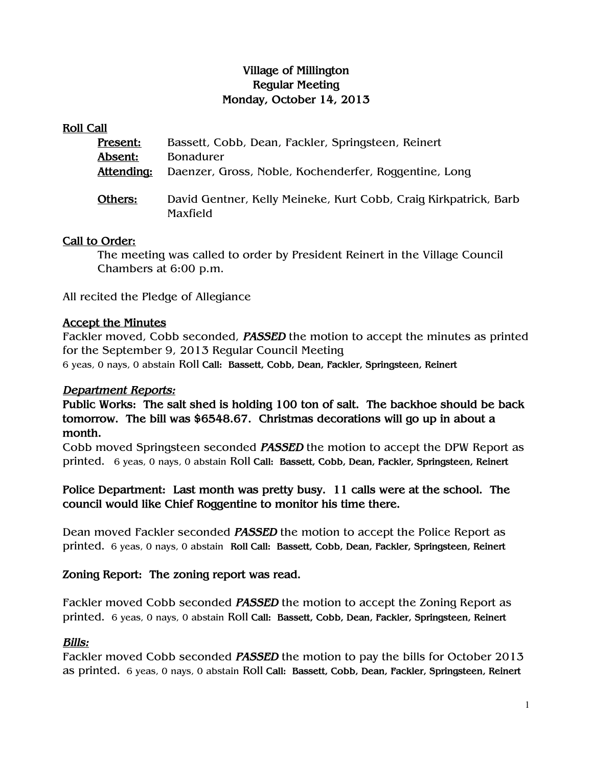## Village of Millington Regular Meeting Monday, October 14, 2013

#### Roll Call

| Present:   | Bassett, Cobb, Dean, Fackler, Springsteen, Reinert                           |
|------------|------------------------------------------------------------------------------|
| Absent:    | <b>Bonadurer</b>                                                             |
| Attending: | Daenzer, Gross, Noble, Kochenderfer, Roggentine, Long                        |
| Others:    | David Gentner, Kelly Meineke, Kurt Cobb, Craig Kirkpatrick, Barb<br>Maxfield |

#### Call to Order:

The meeting was called to order by President Reinert in the Village Council Chambers at 6:00 p.m.

All recited the Pledge of Allegiance

## Accept the Minutes

Fackler moved, Cobb seconded, **PASSED** the motion to accept the minutes as printed for the September 9, 2013 Regular Council Meeting 6 yeas, 0 nays, 0 abstain Roll Call: Bassett, Cobb, Dean, Fackler, Springsteen, Reinert

## Department Reports:

Public Works: The salt shed is holding 100 ton of salt. The backhoe should be back tomorrow. The bill was \$6548.67. Christmas decorations will go up in about a month.

Cobb moved Springsteen seconded PASSED the motion to accept the DPW Report as printed. 6 yeas, 0 nays, 0 abstain Roll Call: Bassett, Cobb, Dean, Fackler, Springsteen, Reinert

Police Department: Last month was pretty busy. 11 calls were at the school. The council would like Chief Roggentine to monitor his time there.

Dean moved Fackler seconded **PASSED** the motion to accept the Police Report as printed. 6 yeas, 0 nays, 0 abstain Roll Call: Bassett, Cobb, Dean, Fackler, Springsteen, Reinert

## Zoning Report: The zoning report was read.

Fackler moved Cobb seconded **PASSED** the motion to accept the Zoning Report as printed. 6 yeas, 0 nays, 0 abstain Roll Call: Bassett, Cobb, Dean, Fackler, Springsteen, Reinert

## Bills:

Fackler moved Cobb seconded PASSED the motion to pay the bills for October 2013 as printed. 6 yeas, 0 nays, 0 abstain Roll Call: Bassett, Cobb, Dean, Fackler, Springsteen, Reinert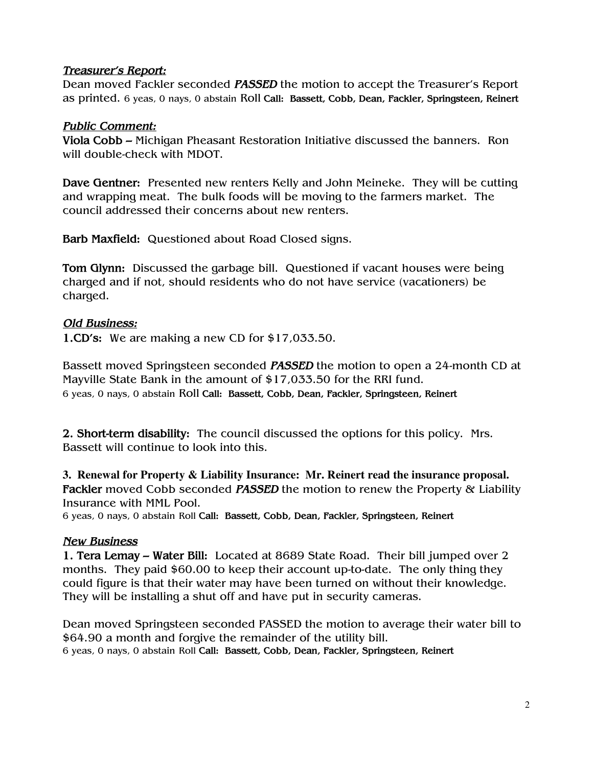#### Treasurer's Report:

Dean moved Fackler seconded PASSED the motion to accept the Treasurer's Report as printed. 6 yeas, 0 nays, 0 abstain Roll Call: Bassett, Cobb, Dean, Fackler, Springsteen, Reinert

#### Public Comment:

Viola Cobb – Michigan Pheasant Restoration Initiative discussed the banners. Ron will double-check with MDOT.

Dave Gentner: Presented new renters Kelly and John Meineke. They will be cutting and wrapping meat. The bulk foods will be moving to the farmers market. The council addressed their concerns about new renters.

Barb Maxfield: Questioned about Road Closed signs.

Tom Glynn: Discussed the garbage bill. Questioned if vacant houses were being charged and if not, should residents who do not have service (vacationers) be charged.

## Old Business:

1.CD's: We are making a new CD for \$17,033.50.

Bassett moved Springsteen seconded **PASSED** the motion to open a 24-month CD at Mayville State Bank in the amount of \$17,033.50 for the RRI fund. 6 yeas, 0 nays, 0 abstain Roll Call: Bassett, Cobb, Dean, Fackler, Springsteen, Reinert

2. Short-term disability: The council discussed the options for this policy. Mrs. Bassett will continue to look into this.

**3. Renewal for Property & Liability Insurance: Mr. Reinert read the insurance proposal.**  Fackler moved Cobb seconded PASSED the motion to renew the Property & Liability Insurance with MML Pool.

6 yeas, 0 nays, 0 abstain Roll Call: Bassett, Cobb, Dean, Fackler, Springsteen, Reinert

## New Business

1. Tera Lemay – Water Bill: Located at 8689 State Road. Their bill jumped over 2 months. They paid \$60.00 to keep their account up-to-date. The only thing they could figure is that their water may have been turned on without their knowledge. They will be installing a shut off and have put in security cameras.

Dean moved Springsteen seconded PASSED the motion to average their water bill to \$64.90 a month and forgive the remainder of the utility bill. 6 yeas, 0 nays, 0 abstain Roll Call: Bassett, Cobb, Dean, Fackler, Springsteen, Reinert